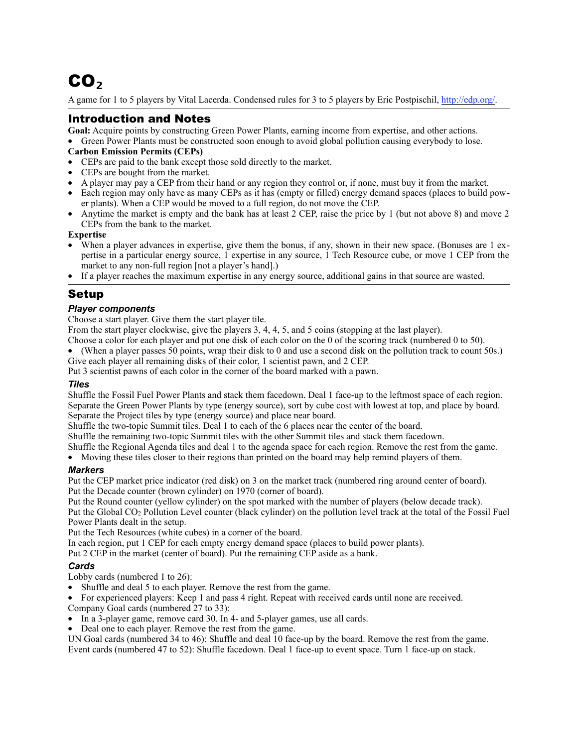# CO**₂**

A game for 1 to 5 players by Vital Lacerda. Condensed rules for 3 to 5 players by Eric Postpischil, [http://edp.org/.](http://edp.org/)

# Introduction and Notes

**Goal:** Acquire points by constructing Green Power Plants, earning income from expertise, and other actions.

• Green Power Plants must be constructed soon enough to avoid global pollution causing everybody to lose.

#### **Carbon Emission Permits (CEPs)**

- CEPs are paid to the bank except those sold directly to the market.
- CEPs are bought from the market.
- A player may pay a CEP from their hand or any region they control or, if none, must buy it from the market.
- Each region may only have as many CEPs as it has (empty or filled) energy demand spaces (places to build power plants). When a CEP would be moved to a full region, do not move the CEP.
- Anytime the market is empty and the bank has at least 2 CEP, raise the price by 1 (but not above 8) and move 2 CEPs from the bank to the market.

#### **Expertise**

- When a player advances in expertise, give them the bonus, if any, shown in their new space. (Bonuses are 1 expertise in a particular energy source, 1 expertise in any source, 1 Tech Resource cube, or move 1 CEP from the market to any non-full region [not a player's hand].)
- If a player reaches the maximum expertise in any energy source, additional gains in that source are wasted.

# Setup

## *Player components*

Choose a start player. Give them the start player tile.

From the start player clockwise, give the players 3, 4, 4, 5, and 5 coins (stopping at the last player).

- Choose a color for each player and put one disk of each color on the 0 of the scoring track (numbered 0 to 50).
- (When a player passes 50 points, wrap their disk to 0 and use a second disk on the pollution track to count 50s.) Give each player all remaining disks of their color, 1 scientist pawn, and 2 CEP.

Put 3 scientist pawns of each color in the corner of the board marked with a pawn.

## *Tiles*

Shuffle the Fossil Fuel Power Plants and stack them facedown. Deal 1 face-up to the leftmost space of each region. Separate the Green Power Plants by type (energy source), sort by cube cost with lowest at top, and place by board. Separate the Project tiles by type (energy source) and place near board.

Shuffle the two-topic Summit tiles. Deal 1 to each of the 6 places near the center of the board.

Shuffle the remaining two-topic Summit tiles with the other Summit tiles and stack them facedown.

Shuffle the Regional Agenda tiles and deal 1 to the agenda space for each region. Remove the rest from the game.

• Moving these tiles closer to their regions than printed on the board may help remind players of them.

## *Markers*

Put the CEP market price indicator (red disk) on 3 on the market track (numbered ring around center of board). Put the Decade counter (brown cylinder) on 1970 (corner of board).

Put the Round counter (yellow cylinder) on the spot marked with the number of players (below decade track).

Put the Global CO2 Pollution Level counter (black cylinder) on the pollution level track at the total of the Fossil Fuel Power Plants dealt in the setup.

Put the Tech Resources (white cubes) in a corner of the board.

In each region, put 1 CEP for each empty energy demand space (places to build power plants).

Put 2 CEP in the market (center of board). Put the remaining CEP aside as a bank.

## *Cards*

Lobby cards (numbered 1 to 26):

- Shuffle and deal 5 to each player. Remove the rest from the game.
- For experienced players: Keep 1 and pass 4 right. Repeat with received cards until none are received.
- Company Goal cards (numbered 27 to 33):
- In a 3-player game, remove card 30. In 4- and 5-player games, use all cards.
- Deal one to each player. Remove the rest from the game.

UN Goal cards (numbered 34 to 46): Shuffle and deal 10 face-up by the board. Remove the rest from the game. Event cards (numbered 47 to 52): Shuffle facedown. Deal 1 face-up to event space. Turn 1 face-up on stack.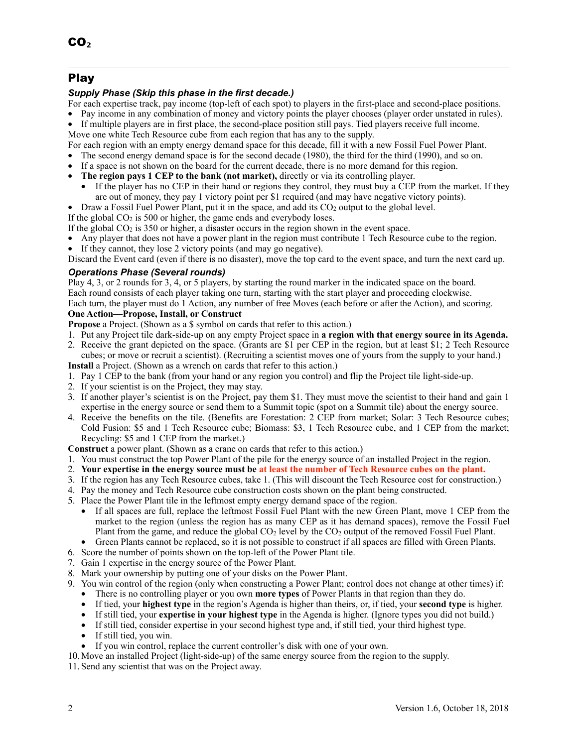# Play

## *Supply Phase (Skip this phase in the first decade.)*

- For each expertise track, pay income (top-left of each spot) to players in the first-place and second-place positions.
- Pay income in any combination of money and victory points the player chooses (player order unstated in rules).
- If multiple players are in first place, the second-place position still pays. Tied players receive full income.
- Move one white Tech Resource cube from each region that has any to the supply.

For each region with an empty energy demand space for this decade, fill it with a new Fossil Fuel Power Plant.

- The second energy demand space is for the second decade (1980), the third for the third (1990), and so on.
- If a space is not shown on the board for the current decade, there is no more demand for this region.
- **The region pays 1 CEP to the bank (not market),** directly or via its controlling player.
	- If the player has no CEP in their hand or regions they control, they must buy a CEP from the market. If they are out of money, they pay 1 victory point per \$1 required (and may have negative victory points).
- Draw a Fossil Fuel Power Plant, put it in the space, and add its  $CO<sub>2</sub>$  output to the global level.

If the global  $CO<sub>2</sub>$  is 500 or higher, the game ends and everybody loses.

- If the global  $CO<sub>2</sub>$  is 350 or higher, a disaster occurs in the region shown in the event space.
- Any player that does not have a power plant in the region must contribute 1 Tech Resource cube to the region.
- If they cannot, they lose 2 victory points (and may go negative).

Discard the Event card (even if there is no disaster), move the top card to the event space, and turn the next card up.

## *Operations Phase (Several rounds)*

Play 4, 3, or 2 rounds for 3, 4, or 5 players, by starting the round marker in the indicated space on the board. Each round consists of each player taking one turn, starting with the start player and proceeding clockwise. Each turn, the player must do 1 Action, any number of free Moves (each before or after the Action), and scoring.

## **One Action—Propose, Install, or Construct**

- **Propose** a Project. (Shown as a \$ symbol on cards that refer to this action.)
- 1. Put any Project tile dark-side-up on any empty Project space in **a region with that energy source in its Agenda.**
- 2. Receive the grant depicted on the space. (Grants are \$1 per CEP in the region, but at least \$1; 2 Tech Resource cubes; or move or recruit a scientist). (Recruiting a scientist moves one of yours from the supply to your hand.)
- **Install** a Project. (Shown as a wrench on cards that refer to this action.)
- 1. Pay 1 CEP to the bank (from your hand or any region you control) and flip the Project tile light-side-up.
- 2. If your scientist is on the Project, they may stay.
- 3. If another player's scientist is on the Project, pay them \$1. They must move the scientist to their hand and gain 1 expertise in the energy source or send them to a Summit topic (spot on a Summit tile) about the energy source.
- 4. Receive the benefits on the tile. (Benefits are Forestation: 2 CEP from market; Solar: 3 Tech Resource cubes; Cold Fusion: \$5 and 1 Tech Resource cube; Biomass: \$3, 1 Tech Resource cube, and 1 CEP from the market; Recycling: \$5 and 1 CEP from the market.)
- **Construct** a power plant. (Shown as a crane on cards that refer to this action.)
- 1. You must construct the top Power Plant of the pile for the energy source of an installed Project in the region.
- 2. **Your expertise in the energy source must be at least the number of Tech Resource cubes on the plant.**
- 3. If the region has any Tech Resource cubes, take 1. (This will discount the Tech Resource cost for construction.)
- 4. Pay the money and Tech Resource cube construction costs shown on the plant being constructed.
- 5. Place the Power Plant tile in the leftmost empty energy demand space of the region.
	- If all spaces are full, replace the leftmost Fossil Fuel Plant with the new Green Plant, move 1 CEP from the market to the region (unless the region has as many CEP as it has demand spaces), remove the Fossil Fuel Plant from the game, and reduce the global CO2 level by the CO2 output of the removed Fossil Fuel Plant.
	- Green Plants cannot be replaced, so it is not possible to construct if all spaces are filled with Green Plants.
- 6. Score the number of points shown on the top-left of the Power Plant tile.
- 7. Gain 1 expertise in the energy source of the Power Plant.
- 8. Mark your ownership by putting one of your disks on the Power Plant.
- 9. You win control of the region (only when constructing a Power Plant; control does not change at other times) if:
	- There is no controlling player or you own **more types** of Power Plants in that region than they do.
	- If tied, your **highest type** in the region's Agenda is higher than theirs, or, if tied, your **second type** is higher.
	- If still tied, your **expertise in your highest type** in the Agenda is higher. (Ignore types you did not build.)
	- If still tied, consider expertise in your second highest type and, if still tied, your third highest type.
	- If still tied, you win.
	- If you win control, replace the current controller's disk with one of your own.
- 10. Move an installed Project (light-side-up) of the same energy source from the region to the supply.

11. Send any scientist that was on the Project away.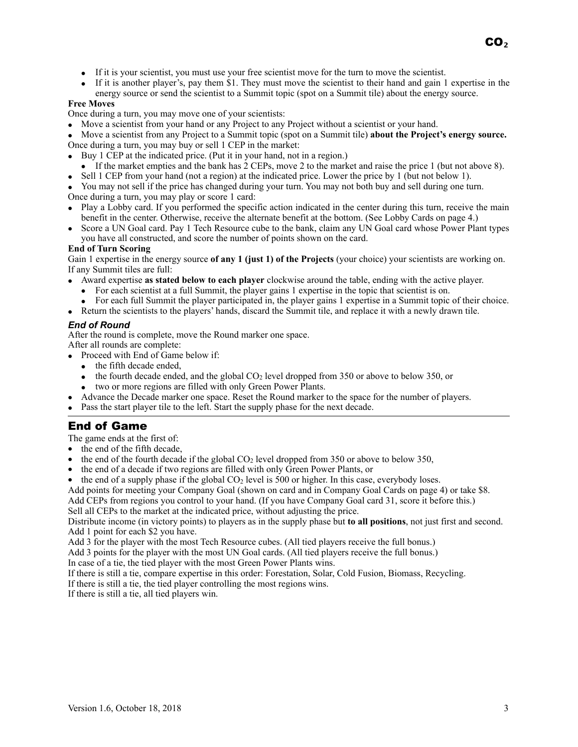- If it is your scientist, you must use your free scientist move for the turn to move the scientist.
- If it is another player's, pay them \$1. They must move the scientist to their hand and gain 1 expertise in the energy source or send the scientist to a Summit topic (spot on a Summit tile) about the energy source.

#### **Free Moves**

Once during a turn, you may move one of your scientists:

- Move a scientist from your hand or any Project to any Project without a scientist or your hand.
- Move a scientist from any Project to a Summit topic (spot on a Summit tile) **about the Project's energy source.** Once during a turn, you may buy or sell 1 CEP in the market:
- Buy 1 CEP at the indicated price. (Put it in your hand, not in a region.)
- If the market empties and the bank has 2 CEPs, move 2 to the market and raise the price 1 (but not above 8).
- Sell 1 CEP from your hand (not a region) at the indicated price. Lower the price by 1 (but not below 1).
- You may not sell if the price has changed during your turn. You may not both buy and sell during one turn. Once during a turn, you may play or score 1 card:
- Play a Lobby card. If you performed the specific action indicated in the center during this turn, receive the main benefit in the center. Otherwise, receive the alternate benefit at the bottom. (See Lobby Cards on page 4.)
- Score a UN Goal card. Pay 1 Tech Resource cube to the bank, claim any UN Goal card whose Power Plant types you have all constructed, and score the number of points shown on the card.

#### **End of Turn Scoring**

Gain 1 expertise in the energy source **of any 1 (just 1) of the Projects** (your choice) your scientists are working on. If any Summit tiles are full:

- Award expertise **as stated below to each player** clockwise around the table, ending with the active player.
	- For each scientist at a full Summit, the player gains 1 expertise in the topic that scientist is on.
	- For each full Summit the player participated in, the player gains 1 expertise in a Summit topic of their choice.
- Return the scientists to the players' hands, discard the Summit tile, and replace it with a newly drawn tile.

#### *End of Round*

After the round is complete, move the Round marker one space.

After all rounds are complete:

- Proceed with End of Game below if:
	- the fifth decade ended.
	- the fourth decade ended, and the global  $CO<sub>2</sub>$  level dropped from 350 or above to below 350, or
	- two or more regions are filled with only Green Power Plants.
	- Advance the Decade marker one space. Reset the Round marker to the space for the number of players.
- Pass the start player tile to the left. Start the supply phase for the next decade.

# End of Game

The game ends at the first of:

- the end of the fifth decade,
- the end of the fourth decade if the global  $CO<sub>2</sub>$  level dropped from 350 or above to below 350,
- the end of a decade if two regions are filled with only Green Power Plants, or
- the end of a supply phase if the global  $CO<sub>2</sub>$  level is 500 or higher. In this case, everybody loses.

Add points for meeting your Company Goal (shown on card and in Company Goal Cards on page 4) or take \$8.

Add CEPs from regions you control to your hand. (If you have Company Goal card 31, score it before this.) Sell all CEPs to the market at the indicated price, without adjusting the price.

Distribute income (in victory points) to players as in the supply phase but **to all positions**, not just first and second. Add 1 point for each \$2 you have.

Add 3 for the player with the most Tech Resource cubes. (All tied players receive the full bonus.)

Add 3 points for the player with the most UN Goal cards. (All tied players receive the full bonus.)

In case of a tie, the tied player with the most Green Power Plants wins.

If there is still a tie, compare expertise in this order: Forestation, Solar, Cold Fusion, Biomass, Recycling.

If there is still a tie, the tied player controlling the most regions wins.

If there is still a tie, all tied players win.